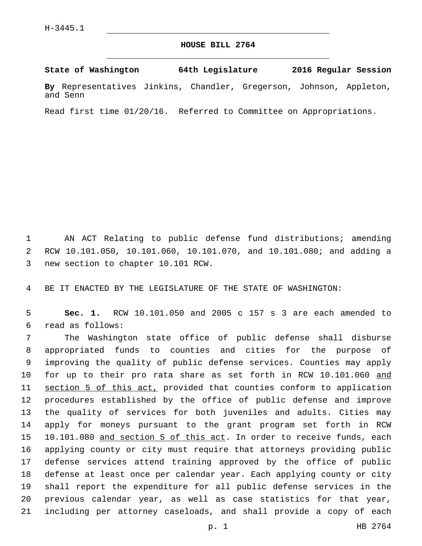## **HOUSE BILL 2764**

**State of Washington 64th Legislature 2016 Regular Session**

**By** Representatives Jinkins, Chandler, Gregerson, Johnson, Appleton, and Senn

Read first time 01/20/16. Referred to Committee on Appropriations.

 AN ACT Relating to public defense fund distributions; amending RCW 10.101.050, 10.101.060, 10.101.070, and 10.101.080; and adding a 3 new section to chapter 10.101 RCW.

BE IT ENACTED BY THE LEGISLATURE OF THE STATE OF WASHINGTON:

 **Sec. 1.** RCW 10.101.050 and 2005 c 157 s 3 are each amended to read as follows:6

 The Washington state office of public defense shall disburse appropriated funds to counties and cities for the purpose of improving the quality of public defense services. Counties may apply 10 for up to their pro rata share as set forth in RCW 10.101.060 and section 5 of this act, provided that counties conform to application procedures established by the office of public defense and improve the quality of services for both juveniles and adults. Cities may apply for moneys pursuant to the grant program set forth in RCW 10.101.080 and section 5 of this act. In order to receive funds, each applying county or city must require that attorneys providing public defense services attend training approved by the office of public defense at least once per calendar year. Each applying county or city shall report the expenditure for all public defense services in the previous calendar year, as well as case statistics for that year, including per attorney caseloads, and shall provide a copy of each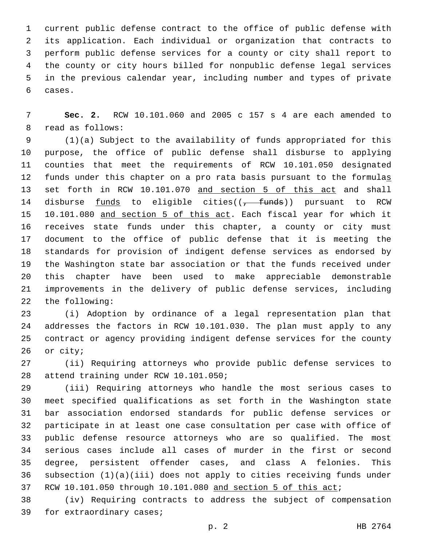current public defense contract to the office of public defense with its application. Each individual or organization that contracts to perform public defense services for a county or city shall report to the county or city hours billed for nonpublic defense legal services in the previous calendar year, including number and types of private 6 cases.

 **Sec. 2.** RCW 10.101.060 and 2005 c 157 s 4 are each amended to 8 read as follows:

 (1)(a) Subject to the availability of funds appropriated for this purpose, the office of public defense shall disburse to applying counties that meet the requirements of RCW 10.101.050 designated 12 funds under this chapter on a pro rata basis pursuant to the formulas 13 set forth in RCW 10.101.070 and section 5 of this act and shall 14 disburse funds to eligible cities((<del>, funds</del>)) pursuant to RCW 15 10.101.080 and section 5 of this act. Each fiscal year for which it receives state funds under this chapter, a county or city must document to the office of public defense that it is meeting the standards for provision of indigent defense services as endorsed by the Washington state bar association or that the funds received under this chapter have been used to make appreciable demonstrable improvements in the delivery of public defense services, including 22 the following:

 (i) Adoption by ordinance of a legal representation plan that addresses the factors in RCW 10.101.030. The plan must apply to any contract or agency providing indigent defense services for the county 26 or city;

 (ii) Requiring attorneys who provide public defense services to 28 attend training under RCW 10.101.050;

 (iii) Requiring attorneys who handle the most serious cases to meet specified qualifications as set forth in the Washington state bar association endorsed standards for public defense services or participate in at least one case consultation per case with office of public defense resource attorneys who are so qualified. The most serious cases include all cases of murder in the first or second degree, persistent offender cases, and class A felonies. This subsection (1)(a)(iii) does not apply to cities receiving funds under 37 RCW 10.101.050 through 10.101.080 and section 5 of this act;

 (iv) Requiring contracts to address the subject of compensation 39 for extraordinary cases;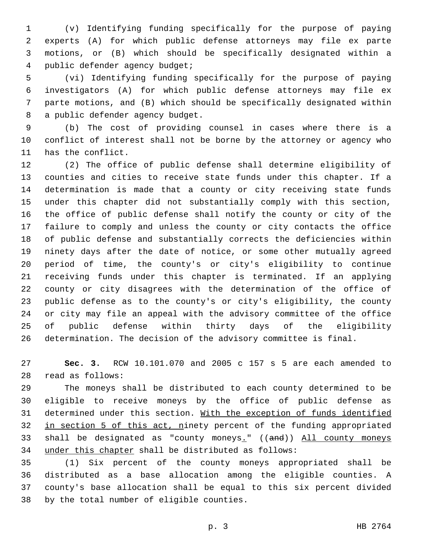(v) Identifying funding specifically for the purpose of paying experts (A) for which public defense attorneys may file ex parte motions, or (B) which should be specifically designated within a public defender agency budget;4

 (vi) Identifying funding specifically for the purpose of paying investigators (A) for which public defense attorneys may file ex parte motions, and (B) which should be specifically designated within 8 a public defender agency budget.

 (b) The cost of providing counsel in cases where there is a conflict of interest shall not be borne by the attorney or agency who 11 has the conflict.

 (2) The office of public defense shall determine eligibility of counties and cities to receive state funds under this chapter. If a determination is made that a county or city receiving state funds under this chapter did not substantially comply with this section, the office of public defense shall notify the county or city of the failure to comply and unless the county or city contacts the office of public defense and substantially corrects the deficiencies within ninety days after the date of notice, or some other mutually agreed period of time, the county's or city's eligibility to continue receiving funds under this chapter is terminated. If an applying county or city disagrees with the determination of the office of public defense as to the county's or city's eligibility, the county or city may file an appeal with the advisory committee of the office of public defense within thirty days of the eligibility determination. The decision of the advisory committee is final.

 **Sec. 3.** RCW 10.101.070 and 2005 c 157 s 5 are each amended to 28 read as follows:

 The moneys shall be distributed to each county determined to be eligible to receive moneys by the office of public defense as 31 determined under this section. With the exception of funds identified 32 in section 5 of this act, ninety percent of the funding appropriated 33 shall be designated as "county moneys." ((and)) All county moneys under this chapter shall be distributed as follows:

 (1) Six percent of the county moneys appropriated shall be distributed as a base allocation among the eligible counties. A county's base allocation shall be equal to this six percent divided 38 by the total number of eligible counties.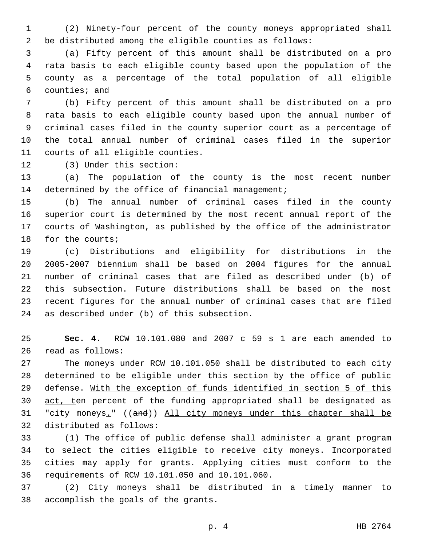(2) Ninety-four percent of the county moneys appropriated shall be distributed among the eligible counties as follows:

 (a) Fifty percent of this amount shall be distributed on a pro rata basis to each eligible county based upon the population of the county as a percentage of the total population of all eligible counties; and

 (b) Fifty percent of this amount shall be distributed on a pro rata basis to each eligible county based upon the annual number of criminal cases filed in the county superior court as a percentage of the total annual number of criminal cases filed in the superior 11 courts of all eligible counties.

12 (3) Under this section:

 (a) The population of the county is the most recent number 14 determined by the office of financial management;

 (b) The annual number of criminal cases filed in the county superior court is determined by the most recent annual report of the courts of Washington, as published by the office of the administrator 18 for the courts;

 (c) Distributions and eligibility for distributions in the 2005-2007 biennium shall be based on 2004 figures for the annual number of criminal cases that are filed as described under (b) of this subsection. Future distributions shall be based on the most recent figures for the annual number of criminal cases that are filed 24 as described under (b) of this subsection.

 **Sec. 4.** RCW 10.101.080 and 2007 c 59 s 1 are each amended to 26 read as follows:

 The moneys under RCW 10.101.050 shall be distributed to each city determined to be eligible under this section by the office of public defense. With the exception of funds identified in section 5 of this 30 act, ten percent of the funding appropriated shall be designated as "city moneys." ((and)) All city moneys under this chapter shall be 32 distributed as follows:

 (1) The office of public defense shall administer a grant program to select the cities eligible to receive city moneys. Incorporated cities may apply for grants. Applying cities must conform to the 36 requirements of RCW 10.101.050 and 10.101.060.

 (2) City moneys shall be distributed in a timely manner to 38 accomplish the goals of the grants.